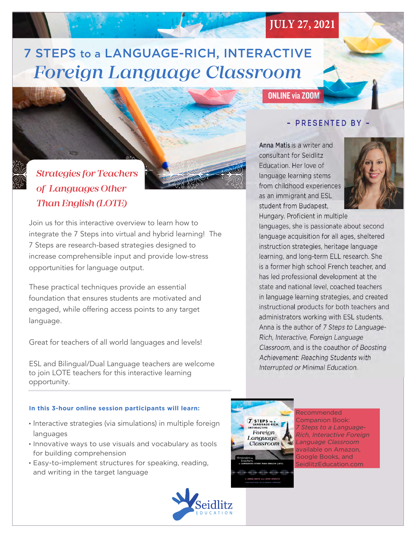# 7 STEPS to a LANGUAGE-RICH, INTERACTIVE *Foreign Language Classroom*

**JULY 27, 2021**

# Strategies for Teachers  $\frac{1}{\sqrt{2}}$

# *Strategies for Teachers of Languages Other Than English (LOTE)*

Join us for this interactive overview to learn how to integrate the 7 Steps into virtual and hybrid learning! The 7 Steps are research-based strategies designed to increase comprehensible input and provide low-stress opportunities for language output.

These practical techniques provide an essential foundation that ensures students are motivated and engaged, while offering access points to any target language.

Great for teachers of all world languages and levels!

ESL and Bilingual/Dual Language teachers are welcome to join LOTE teachers for this interactive learning opportunity.

### **In this 3-hour online session participants will learn:**

- Interactive strategies (via simulations) in multiple foreign languages
- Innovative ways to use visuals and vocabulary as tools for building comprehension
- Easy-to-implement structures for speaking, reading, and writing in the target language



## - PRESENTED BY -

Anna Matis is a writer and consultant for Seidlitz Education. Her love of language learning stems from childhood experiences as an immigrant and ESL ab an immigrant and ESE student from buddpest,



Hungary. Proficient in multiple. languages, she is passionate about second language acquisition for all ages, sheltered instruction strategies, heritage language learning, and long-term ELL research. She She currently pursues her passion for linguistic and environment as and state and national level, coached teachers in language learning strategies, and created instructional products for both teachers and administrators working with ESL students. Anna is the author of 7 Steps to Language-**ONLINE via ZOOM**<br>
- **PRESENTED BY**<br> **na Matis is a writer and**<br> **nsultant for Seidlitz**<br>
ucation. Her love of<br>
guage learning stems<br>
m childhood experiences<br>
an immigrant and ESL<br>
ugary. Proficient in multiple<br>
guages, sh